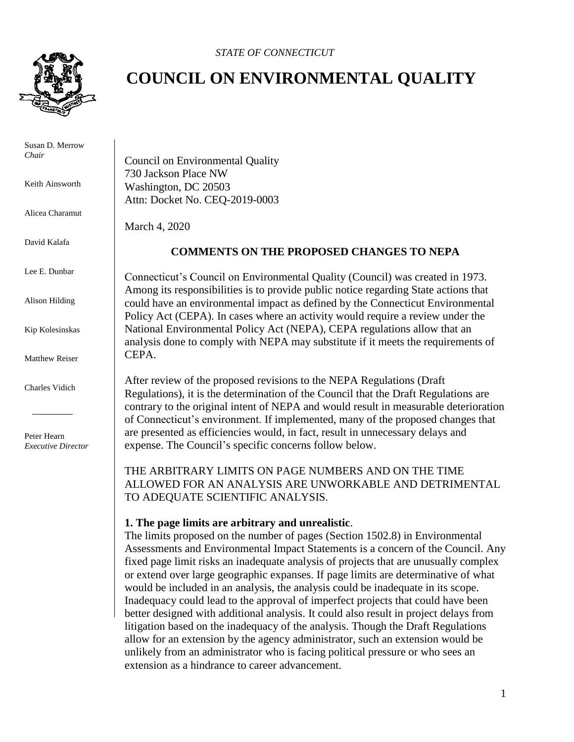*STATE OF CONNECTICUT*



 Susan D. Merrow *Chair*

Keith Ainsworth

Alicea Charamut

David Kalafa

Lee E. Dunbar

Alison Hilding

Kip Kolesinskas

Matthew Reiser

Charles Vidich

 Peter Hearn *Executive Director*

# **COUNCIL ON ENVIRONMENTAL QUALITY**

Council on Environmental Quality 730 Jackson Place NW Washington, DC 20503 Attn: Docket No. CEQ-2019-0003

March 4, 2020

## **COMMENTS ON THE PROPOSED CHANGES TO NEPA**

Connecticut's Council on Environmental Quality (Council) was created in 1973. Among its responsibilities is to provide public notice regarding State actions that could have an environmental impact as defined by the Connecticut Environmental Policy Act (CEPA). In cases where an activity would require a review under the National Environmental Policy Act (NEPA), CEPA regulations allow that an analysis done to comply with NEPA may substitute if it meets the requirements of CEPA.

After review of the proposed revisions to the NEPA Regulations (Draft Regulations), it is the determination of the Council that the Draft Regulations are contrary to the original intent of NEPA and would result in measurable deterioration of Connecticut's environment. If implemented, many of the proposed changes that are presented as efficiencies would, in fact, result in unnecessary delays and expense. The Council's specific concerns follow below.

THE ARBITRARY LIMITS ON PAGE NUMBERS AND ON THE TIME ALLOWED FOR AN ANALYSIS ARE UNWORKABLE AND DETRIMENTAL TO ADEQUATE SCIENTIFIC ANALYSIS.

## **1. The page limits are arbitrary and unrealistic**.

The limits proposed on the number of pages (Section 1502.8) in Environmental Assessments and Environmental Impact Statements is a concern of the Council. Any fixed page limit risks an inadequate analysis of projects that are unusually complex or extend over large geographic expanses. If page limits are determinative of what would be included in an analysis, the analysis could be inadequate in its scope. Inadequacy could lead to the approval of imperfect projects that could have been better designed with additional analysis. It could also result in project delays from litigation based on the inadequacy of the analysis. Though the Draft Regulations allow for an extension by the agency administrator, such an extension would be unlikely from an administrator who is facing political pressure or who sees an extension as a hindrance to career advancement.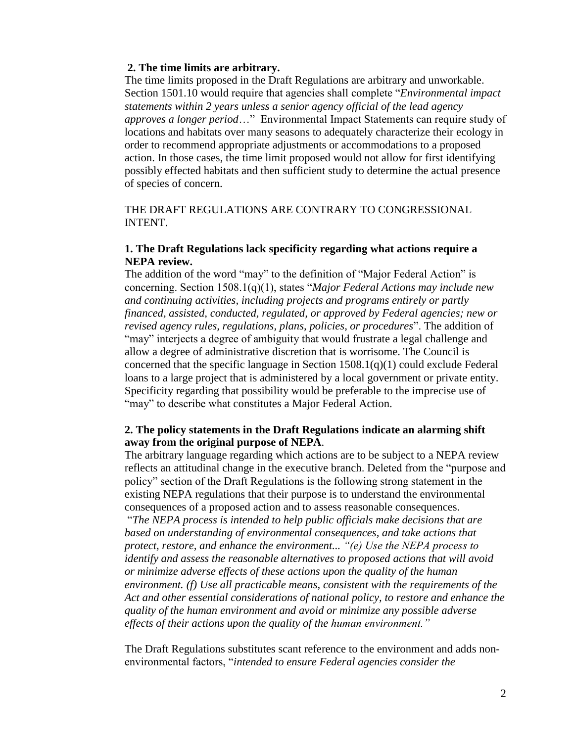#### **2. The time limits are arbitrary.**

The time limits proposed in the Draft Regulations are arbitrary and unworkable. Section 1501.10 would require that agencies shall complete "*Environmental impact statements within 2 years unless a senior agency official of the lead agency approves a longer period*…" Environmental Impact Statements can require study of locations and habitats over many seasons to adequately characterize their ecology in order to recommend appropriate adjustments or accommodations to a proposed action. In those cases, the time limit proposed would not allow for first identifying possibly effected habitats and then sufficient study to determine the actual presence of species of concern.

THE DRAFT REGULATIONS ARE CONTRARY TO CONGRESSIONAL INTENT.

# **1. The Draft Regulations lack specificity regarding what actions require a NEPA review.**

The addition of the word "may" to the definition of "Major Federal Action" is concerning. Section 1508.1(q)(1), states "*Major Federal Actions may include new and continuing activities, including projects and programs entirely or partly financed, assisted, conducted, regulated, or approved by Federal agencies; new or revised agency rules, regulations, plans, policies, or procedures*". The addition of "may" interjects a degree of ambiguity that would frustrate a legal challenge and allow a degree of administrative discretion that is worrisome. The Council is concerned that the specific language in Section  $1508.1(q)(1)$  could exclude Federal loans to a large project that is administered by a local government or private entity. Specificity regarding that possibility would be preferable to the imprecise use of "may" to describe what constitutes a Major Federal Action.

## **2. The policy statements in the Draft Regulations indicate an alarming shift away from the original purpose of NEPA**.

The arbitrary language regarding which actions are to be subject to a NEPA review reflects an attitudinal change in the executive branch. Deleted from the "purpose and policy" section of the Draft Regulations is the following strong statement in the existing NEPA regulations that their purpose is to understand the environmental consequences of a proposed action and to assess reasonable consequences.

"*The NEPA process is intended to help public officials make decisions that are based on understanding of environmental consequences, and take actions that protect, restore, and enhance the environment... "(e) Use the NEPA process to identify and assess the reasonable alternatives to proposed actions that will avoid or minimize adverse effects of these actions upon the quality of the human environment. (f) Use all practicable means, consistent with the requirements of the Act and other essential considerations of national policy, to restore and enhance the quality of the human environment and avoid or minimize any possible adverse effects of their actions upon the quality of the human environment."*

The Draft Regulations substitutes scant reference to the environment and adds nonenvironmental factors, "*intended to ensure Federal agencies consider the*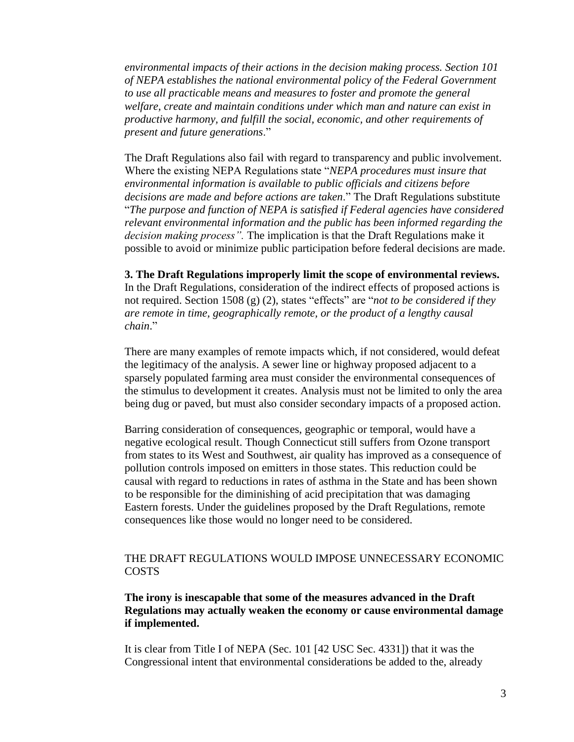*environmental impacts of their actions in the decision making process. Section 101 of NEPA establishes the national environmental policy of the Federal Government to use all practicable means and measures to foster and promote the general welfare, create and maintain conditions under which man and nature can exist in productive harmony, and fulfill the social, economic, and other requirements of present and future generations*."

The Draft Regulations also fail with regard to transparency and public involvement. Where the existing NEPA Regulations state "*NEPA procedures must insure that environmental information is available to public officials and citizens before decisions are made and before actions are taken*." The Draft Regulations substitute "*The purpose and function of NEPA is satisfied if Federal agencies have considered relevant environmental information and the public has been informed regarding the decision making process".* The implication is that the Draft Regulations make it possible to avoid or minimize public participation before federal decisions are made.

**3. The Draft Regulations improperly limit the scope of environmental reviews.** In the Draft Regulations, consideration of the indirect effects of proposed actions is not required. Section 1508 (g) (2), states "effects" are "*not to be considered if they are remote in time, geographically remote, or the product of a lengthy causal chain*."

There are many examples of remote impacts which, if not considered, would defeat the legitimacy of the analysis. A sewer line or highway proposed adjacent to a sparsely populated farming area must consider the environmental consequences of the stimulus to development it creates. Analysis must not be limited to only the area being dug or paved, but must also consider secondary impacts of a proposed action.

Barring consideration of consequences, geographic or temporal, would have a negative ecological result. Though Connecticut still suffers from Ozone transport from states to its West and Southwest, air quality has improved as a consequence of pollution controls imposed on emitters in those states. This reduction could be causal with regard to reductions in rates of asthma in the State and has been shown to be responsible for the diminishing of acid precipitation that was damaging Eastern forests. Under the guidelines proposed by the Draft Regulations, remote consequences like those would no longer need to be considered.

# THE DRAFT REGULATIONS WOULD IMPOSE UNNECESSARY ECONOMIC **COSTS**

# **The irony is inescapable that some of the measures advanced in the Draft Regulations may actually weaken the economy or cause environmental damage if implemented.**

It is clear from Title I of NEPA (Sec. 101 [42 USC Sec. 4331]) that it was the Congressional intent that environmental considerations be added to the, already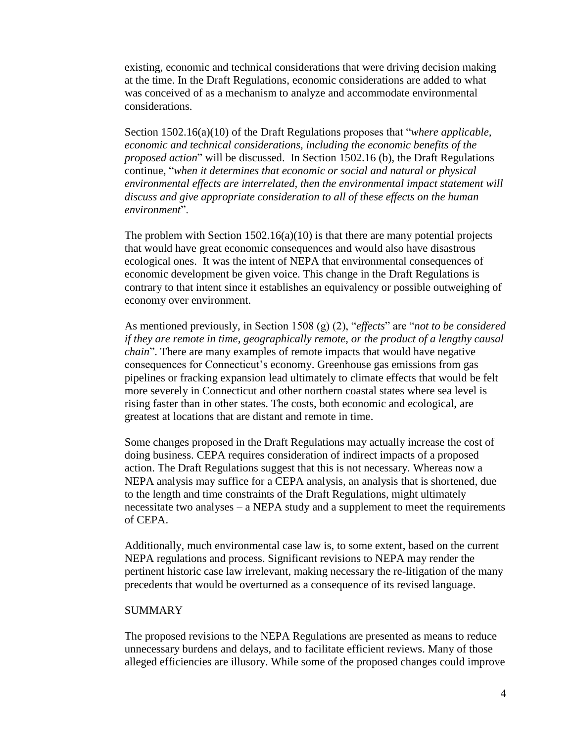existing, economic and technical considerations that were driving decision making at the time. In the Draft Regulations, economic considerations are added to what was conceived of as a mechanism to analyze and accommodate environmental considerations.

Section 1502.16(a)(10) of the Draft Regulations proposes that "*where applicable, economic and technical considerations, including the economic benefits of the proposed action*" will be discussed. In Section 1502.16 (b), the Draft Regulations continue, "*when it determines that economic or social and natural or physical environmental effects are interrelated, then the environmental impact statement will discuss and give appropriate consideration to all of these effects on the human environment*".

The problem with Section  $1502.16(a)(10)$  is that there are many potential projects that would have great economic consequences and would also have disastrous ecological ones. It was the intent of NEPA that environmental consequences of economic development be given voice. This change in the Draft Regulations is contrary to that intent since it establishes an equivalency or possible outweighing of economy over environment.

As mentioned previously, in Section 1508 (g) (2), "*effects*" are "*not to be considered if they are remote in time, geographically remote, or the product of a lengthy causal chain*". There are many examples of remote impacts that would have negative consequences for Connecticut's economy. Greenhouse gas emissions from gas pipelines or fracking expansion lead ultimately to climate effects that would be felt more severely in Connecticut and other northern coastal states where sea level is rising faster than in other states. The costs, both economic and ecological, are greatest at locations that are distant and remote in time.

Some changes proposed in the Draft Regulations may actually increase the cost of doing business. CEPA requires consideration of indirect impacts of a proposed action. The Draft Regulations suggest that this is not necessary. Whereas now a NEPA analysis may suffice for a CEPA analysis, an analysis that is shortened, due to the length and time constraints of the Draft Regulations, might ultimately necessitate two analyses – a NEPA study and a supplement to meet the requirements of CEPA.

Additionally, much environmental case law is, to some extent, based on the current NEPA regulations and process. Significant revisions to NEPA may render the pertinent historic case law irrelevant, making necessary the re-litigation of the many precedents that would be overturned as a consequence of its revised language.

#### **SUMMARY**

The proposed revisions to the NEPA Regulations are presented as means to reduce unnecessary burdens and delays, and to facilitate efficient reviews. Many of those alleged efficiencies are illusory. While some of the proposed changes could improve